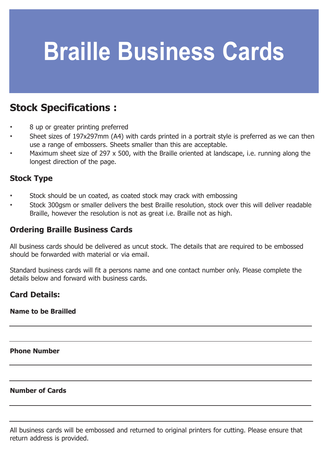# **Braille Business Cards**

# **Stock Specifications :**

- **·** 8 up or greater printing preferred
- **·** Sheet sizes of 197x297mm (A4) with cards printed in a portrait style is preferred as we can then use a range of embossers. Sheets smaller than this are acceptable.
- **·** Maximum sheet size of 297 x 500, with the Braille oriented at landscape, i.e. running along the longest direction of the page.

#### **Stock Type**

- **·** Stock should be un coated, as coated stock may crack with embossing
- **·** Stock 300gsm or smaller delivers the best Braille resolution, stock over this will deliver readable Braille, however the resolution is not as great i.e. Braille not as high.

### **Ordering Braille Business Cards**

All business cards should be delivered as uncut stock. The details that are required to be embossed should be forwarded with material or via email.

Standard business cards will fit a persons name and one contact number only. Please complete the details below and forward with business cards.

### **Card Details:**

#### **Name to be Brailled**

**Phone Number**

#### **Number of Cards**

All business cards will be embossed and returned to original printers for cutting. Please ensure that return address is provided.